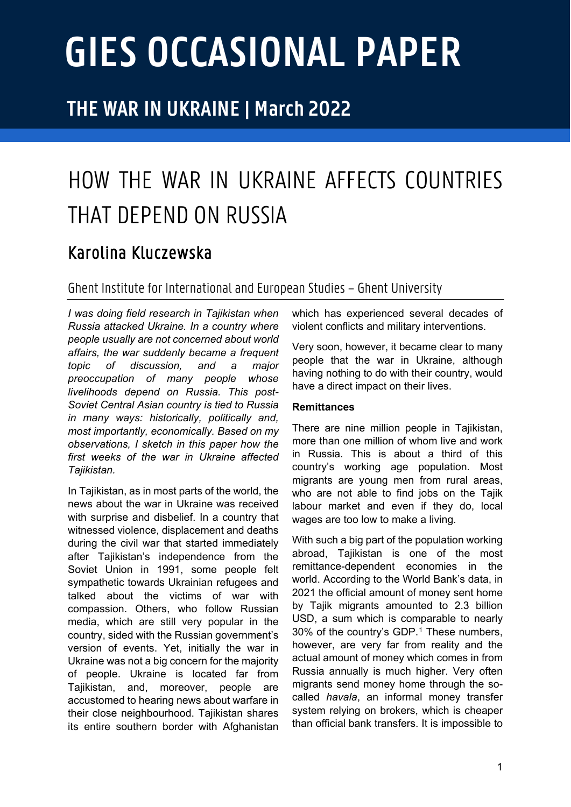# **GIES OCCASIONAL PAPER**

## **THE WAR IN UKRAINE | March 2022**

# HOW THE WAR IN UKRAINE AFFECTS COUNTRIES THAT DEPEND ON RUSSIA

### Karolina Kluczewska

#### Ghent Institute for Internationaland European Studies – Ghent University

*I was doing field research in Tajikistan when Russia attacked Ukraine. In a country where people usually are not concerned about world affairs, the war suddenly became a frequent topic of discussion, and a major preoccupation of many people whose livelihoods depend on Russia. This post-Soviet Central Asian country is tied to Russia in many ways: historically, politically and, most importantly, economically. Based on my observations, I sketch in this paper how the first weeks of the war in Ukraine affected Tajikistan.* 

In Tajikistan, as in most parts of the world, the news about the war in Ukraine was received with surprise and disbelief. In a country that witnessed violence, displacement and deaths during the civil war that started immediately after Tajikistan's independence from the Soviet Union in 1991, some people felt sympathetic towards Ukrainian refugees and talked about the victims of war with compassion. Others, who follow Russian media, which are still very popular in the country, sided with the Russian government's version of events. Yet, initially the war in Ukraine was not a big concern for the majority of people. Ukraine is located far from Tajikistan, and, moreover, people are accustomed to hearing news about warfare in their close neighbourhood. Tajikistan shares its entire southern border with Afghanistan

which has experienced several decades of violent conflicts and military interventions.

Very soon, however, it became clear to many people that the war in Ukraine, although having nothing to do with their country, would have a direct impact on their lives.

#### **Remittances**

There are nine million people in Tajikistan, more than one million of whom live and work in Russia. This is about a third of this country's working age population. Most migrants are young men from rural areas, who are not able to find jobs on the Tajik labour market and even if they do, local wages are too low to make a living.

With such a big part of the population working abroad, Tajikistan is one of the most remittance-dependent economies in the world. According to the World Bank's data, in 2021 the official amount of money sent home by Tajik migrants amounted to 2.3 billion USD, a sum which is comparable to nearly 30% of the country's GDP.<sup>[1](#page-4-0)</sup> These numbers, however, are very far from reality and the actual amount of money which comes in from Russia annually is much higher. Very often migrants send money home through the socalled *havala*, an informal money transfer system relying on brokers, which is cheaper than official bank transfers. It is impossible to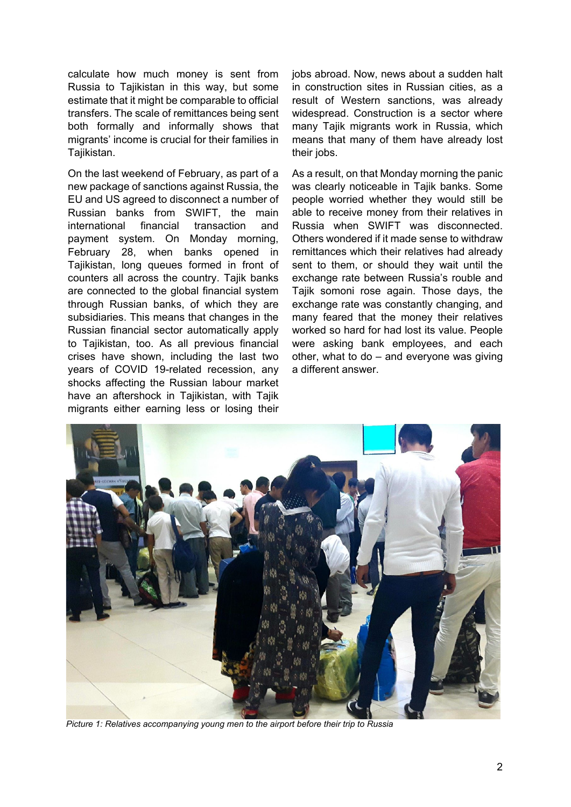calculate how much money is sent from Russia to Tajikistan in this way, but some estimate that it might be comparable to official transfers. The scale of remittances being sent both formally and informally shows that migrants' income is crucial for their families in Tajikistan.

On the last weekend of February, as part of a new package of sanctions against Russia, the EU and US agreed to disconnect a number of Russian banks from SWIFT, the main international financial transaction and payment system. On Monday morning, February 28, when banks opened in Tajikistan, long queues formed in front of counters all across the country. Tajik banks are connected to the global financial system through Russian banks, of which they are subsidiaries. This means that changes in the Russian financial sector automatically apply to Tajikistan, too. As all previous financial crises have shown, including the last two years of COVID 19-related recession, any shocks affecting the Russian labour market have an aftershock in Tajikistan, with Tajik migrants either earning less or losing their

jobs abroad. Now, news about a sudden halt in construction sites in Russian cities, as a result of Western sanctions, was already widespread. Construction is a sector where many Tajik migrants work in Russia, which means that many of them have already lost their jobs.

As a result, on that Monday morning the panic was clearly noticeable in Tajik banks. Some people worried whether they would still be able to receive money from their relatives in Russia when SWIFT was disconnected. Others wondered if it made sense to withdraw remittances which their relatives had already sent to them, or should they wait until the exchange rate between Russia's rouble and Tajik somoni rose again. Those days, the exchange rate was constantly changing, and many feared that the money their relatives worked so hard for had lost its value. People were asking bank employees, and each other, what to do – and everyone was giving a different answer.



*Picture 1: Relatives accompanying young men to the airport before their trip to Russia*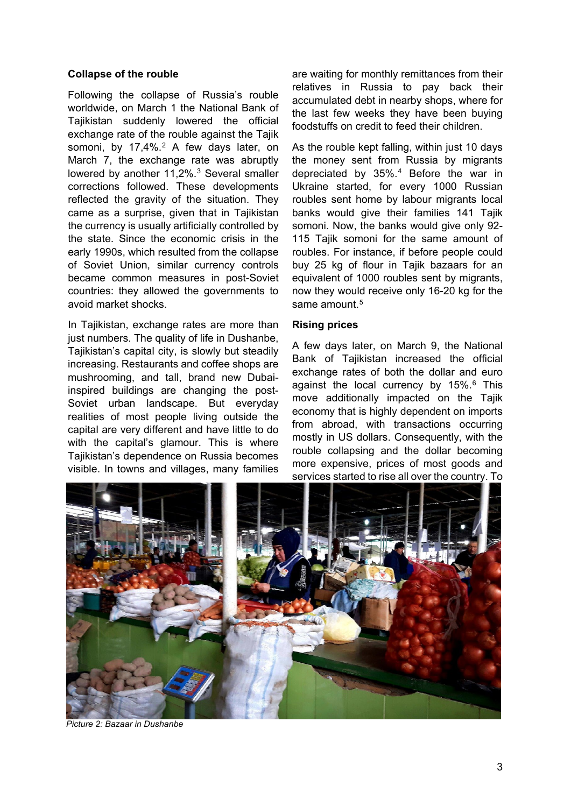#### **Collapse of the rouble**

Following the collapse of Russia's rouble worldwide, on March 1 the National Bank of Tajikistan suddenly lowered the official exchange rate of the rouble against the Tajik somoni, by 17,4%.<sup>[2](#page-4-1)</sup> A few days later, on March 7, the exchange rate was abruptly lowered by another 11,2%.<sup>[3](#page-4-2)</sup> Several smaller corrections followed. These developments reflected the gravity of the situation. They came as a surprise, given that in Tajikistan the currency is usually artificially controlled by the state. Since the economic crisis in the early 1990s, which resulted from the collapse of Soviet Union, similar currency controls became common measures in post-Soviet countries: they allowed the governments to avoid market shocks.

In Tajikistan, exchange rates are more than just numbers. The quality of life in Dushanbe, Tajikistan's capital city, is slowly but steadily increasing. Restaurants and coffee shops are mushrooming, and tall, brand new Dubaiinspired buildings are changing the post-Soviet urban landscape. But everyday realities of most people living outside the capital are very different and have little to do with the capital's glamour. This is where Tajikistan's dependence on Russia becomes visible. In towns and villages, many families

are waiting for monthly remittances from their relatives in Russia to pay back their accumulated debt in nearby shops, where for the last few weeks they have been buying foodstuffs on credit to feed their children.

As the rouble kept falling, within just 10 days the money sent from Russia by migrants depreciated by 35%.[4](#page-4-3) Before the war in Ukraine started, for every 1000 Russian roubles sent home by labour migrants local banks would give their families 141 Tajik somoni. Now, the banks would give only 92- 115 Tajik somoni for the same amount of roubles. For instance, if before people could buy 25 kg of flour in Tajik bazaars for an equivalent of 1000 roubles sent by migrants, now they would receive only 16-20 kg for the same amount.<sup>[5](#page-4-4)</sup>

#### **Rising prices**

A few days later, on March 9, the National Bank of Tajikistan increased the official exchange rates of both the dollar and euro against the local currency by 15%.<sup>[6](#page-4-5)</sup> This move additionally impacted on the Tajik economy that is highly dependent on imports from abroad, with transactions occurring mostly in US dollars. Consequently, with the rouble collapsing and the dollar becoming more expensive, prices of most goods and services started to rise all over the country. To



*Picture 2: Bazaar in Dushanbe*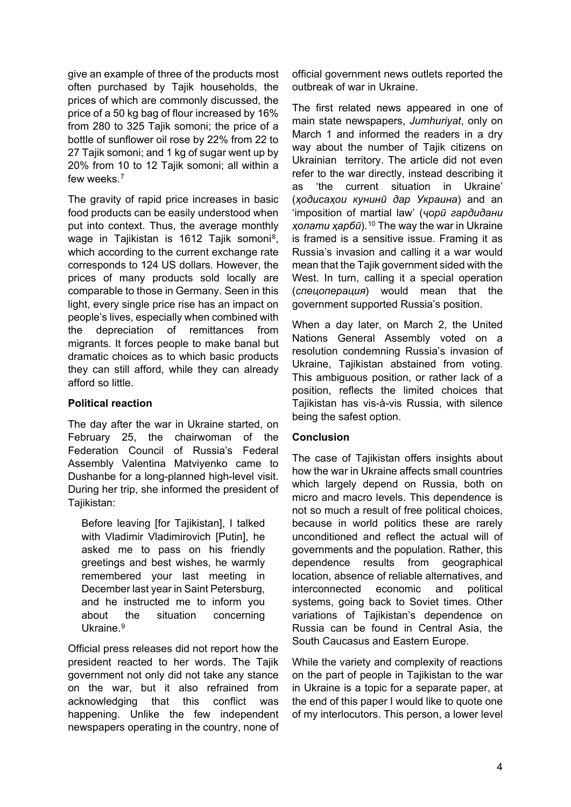give an example of three of the products most often purchased by Tajik households, the prices of which are commonly discussed, the price of a 50 kg bag of flour increased by 16% from 280 to 325 Tajik somoni; the price of a bottle of sunflower oil rose by 22% from 22 to 27 Tajik somoni; and 1 kg of sugar went up by 20% from 10 to 12 Tajik somoni; all within a few weeks $<sup>7</sup>$  $<sup>7</sup>$  $<sup>7</sup>$ </sup>

The gravity of rapid price increases in basic food products can be easily understood when put into context. Thus, the average monthly wage in Tajikistan is 1612 Tajik somoni<sup>8</sup>. which according to the current exchange rate corresponds to 124 US dollars. However, the prices of many products sold locally are comparable to those in Germany. Seen in this light, every single price rise has an impact on people's lives, especially when combined with the depreciation of remittances from migrants. It forces people to make banal but dramatic choices as to which basic products they can still afford, while they can already afford so little.

#### **Political reaction**

The day after the war in Ukraine started, on February 25, the chairwoman of the Federation Council of Russia's Federal Assembly Valentina Matviyenko came to Dushanbe for a long-planned high-level visit. During her trip, she informed the president of Tajikistan:

Before leaving [for Tajikistan], I talked with Vladimir Vladimirovich [Putin], he asked me to pass on his friendly greetings and best wishes, he warmly remembered your last meeting in December last year in Saint Petersburg, and he instructed me to inform you about the situation concerning Ukraine.<sup>[9](#page-4-8)</sup>

Official press releases did not report how the president reacted to her words. The Tajik government not only did not take any stance on the war, but it also refrained from acknowledging that this conflict was happening. Unlike the few independent newspapers operating in the country, none of official government news outlets reported the outbreak of war in Ukraine.

The first related news appeared in one of main state newspapers, *Jumhuriyat*, only on March 1 and informed the readers in a dry way about the number of Tajik citizens on Ukrainian territory. The article did not even refer to the war directly, instead describing it as 'the current situation in Ukraine' (*ҳодисаҳои кунинӣ дар Украина*) and an 'imposition of martial law' (*ҷорӣ гардидани ҳолати ҳарбӣ*).[10](#page-4-9) The way the war in Ukraine is framed is a sensitive issue. Framing it as Russia's invasion and calling it a war would mean that the Tajik government sided with the West. In turn, calling it a special operation (*спецоперация*) would mean that the government supported Russia's position.

When a day later, on March 2, the United Nations General Assembly voted on a resolution condemning Russia's invasion of Ukraine, Tajikistan abstained from voting. This ambiguous position, or rather lack of a position, reflects the limited choices that Tajikistan has vis-à-vis Russia, with silence being the safest option.

#### **Conclusion**

The case of Tajikistan offers insights about how the war in Ukraine affects small countries which largely depend on Russia, both on micro and macro levels. This dependence is not so much a result of free political choices, because in world politics these are rarely unconditioned and reflect the actual will of governments and the population. Rather, this dependence results from geographical location, absence of reliable alternatives, and interconnected economic and political systems, going back to Soviet times. Other variations of Tajikistan's dependence on Russia can be found in Central Asia, the South Caucasus and Eastern Europe.

While the variety and complexity of reactions on the part of people in Tajikistan to the war in Ukraine is a topic for a separate paper, at the end of this paper I would like to quote one of my interlocutors. This person, a lower level